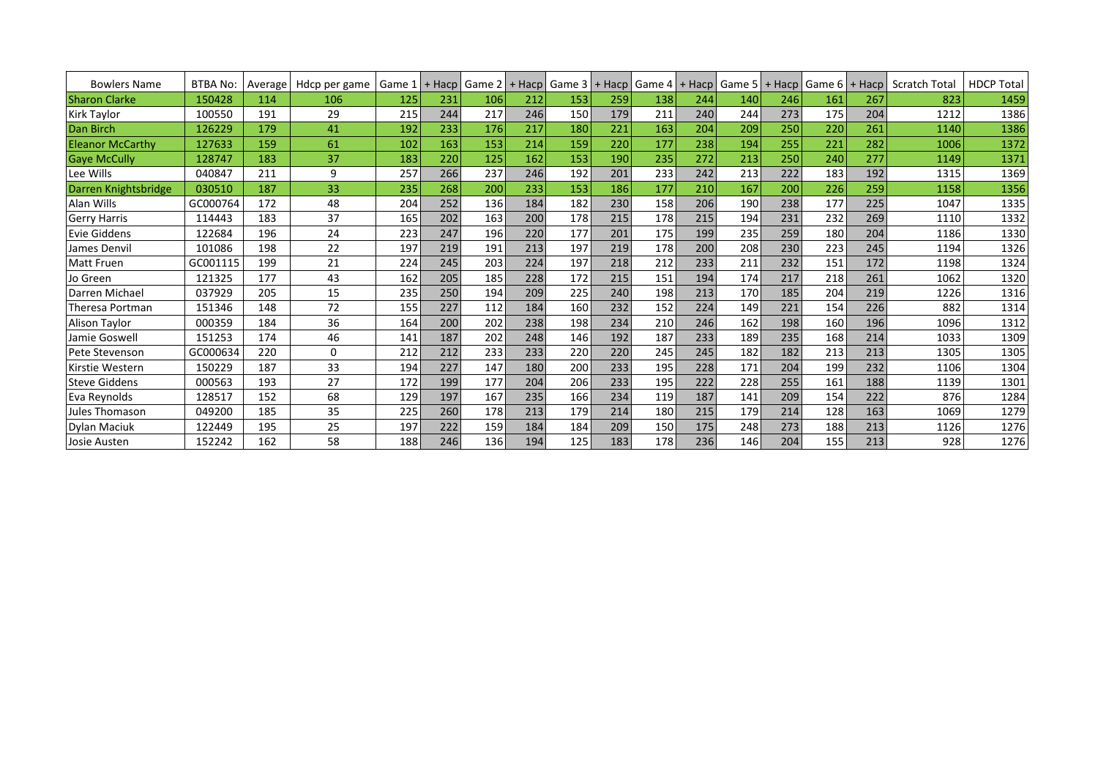| <b>Bowlers Name</b>     | <b>BTBA No:</b> | Average | Hdcp per game | Game $1$ + Hacp |     | Game 2 | $+$ Hacp | Game 3 | $+$ Hacp | Game 4 | + Hacp | Game $5$   + Hacp |     | Game $61+$ | Hacp | <b>Scratch Total</b> | <b>HDCP Total</b> |
|-------------------------|-----------------|---------|---------------|-----------------|-----|--------|----------|--------|----------|--------|--------|-------------------|-----|------------|------|----------------------|-------------------|
| <b>Sharon Clarke</b>    | 150428          | 114     | 106           | 125             | 231 | 106    | 212      | 153    | 259      | 138    | 244    | 140               | 246 | 161        | 267  | 823                  | 1459              |
| Kirk Taylor             | 100550          | 191     | 29            | 215             | 244 | 217    | 246      | 150    | 179      | 211    | 240    | 244               | 273 | 175        | 204  | 1212                 | 1386              |
| Dan Birch               | 126229          | 179     | 41            | 192             | 233 | 176    | 217      | 180    | 221      | 163    | 204    | 209               | 250 | 220        | 261  | 1140                 | 1386              |
| <b>Eleanor McCarthy</b> | 127633          | 159     | 61            | 102             | 163 | 153    | 214      | 159    | 220      | 177    | 238    | 194               | 255 | 221        | 282  | 1006                 | 1372              |
| <b>Gaye McCully</b>     | 128747          | 183     | 37            | 183             | 220 | 125    | 162      | 153    | 190      | 235    | 272    | 213               | 250 | 240        | 277  | 1149                 | 1371              |
| Lee Wills               | 040847          | 211     | 9             | 257             | 266 | 237    | 246      | 192    | 201      | 233    | 242    | 213               | 222 | 183        | 192  | 1315                 | 1369              |
| Darren Knightsbridge    | 030510          | 187     | 33            | 235             | 268 | 200    | 233      | 153    | 186      | 177    | 210    | 167               | 200 | 226        | 259  | 1158                 | 1356              |
| Alan Wills              | GC000764        | 172     | 48            | 204             | 252 | 136    | 184      | 182    | 230      | 158    | 206    | 190               | 238 | 177        | 225  | 1047                 | 1335              |
| <b>Gerry Harris</b>     | 114443          | 183     | 37            | 165             | 202 | 163    | 200      | 178    | 215      | 178    | 215    | 194               | 231 | 232        | 269  | 1110                 | 1332              |
| <b>Evie Giddens</b>     | 122684          | 196     | 24            | 223             | 247 | 196    | 220      | 177    | 201      | 175    | 199    | 235               | 259 | 180        | 204  | 1186                 | 1330              |
| James Denvil            | 101086          | 198     | 22            | 197             | 219 | 191    | 213      | 197    | 219      | 178    | 200    | 208               | 230 | 223        | 245  | 1194                 | 1326              |
| <b>Matt Fruen</b>       | GC001115        | 199     | 21            | 224             | 245 | 203    | 224      | 197    | 218      | 212    | 233    | 211               | 232 | 151        | 172  | 1198                 | 1324              |
| Jo Green                | 121325          | 177     | 43            | 162             | 205 | 185    | 228      | 172    | 215      | 151    | 194    | 174               | 217 | 218        | 261  | 1062                 | 1320              |
| Darren Michael          | 037929          | 205     | 15            | 235             | 250 | 194    | 209      | 225    | 240      | 198    | 213    | 170               | 185 | 204        | 219  | 1226                 | 1316              |
| Theresa Portman         | 151346          | 148     | 72            | 155             | 227 | 112    | 184      | 160    | 232      | 152    | 224    | 149               | 221 | 154        | 226  | 882                  | 1314              |
| <b>Alison Taylor</b>    | 000359          | 184     | 36            | 164             | 200 | 202    | 238      | 198    | 234      | 210    | 246    | 162               | 198 | 160        | 196  | 1096                 | 1312              |
| Jamie Goswell           | 151253          | 174     | 46            | 141             | 187 | 202    | 248      | 146    | 192      | 187    | 233    | 189               | 235 | 168        | 214  | 1033                 | 1309              |
| Pete Stevenson          | GC000634        | 220     | 0             | 212             | 212 | 233    | 233      | 220    | 220      | 245    | 245    | 182               | 182 | 213        | 213  | 1305                 | 1305              |
| Kirstie Western         | 150229          | 187     | 33            | 194             | 227 | 147    | 180      | 200    | 233      | 195    | 228    | 171               | 204 | 199        | 232  | 1106                 | 1304              |
| <b>Steve Giddens</b>    | 000563          | 193     | 27            | 172             | 199 | 177    | 204      | 206    | 233      | 195    | 222    | 228               | 255 | 161        | 188  | 1139                 | 1301              |
| Eva Reynolds            | 128517          | 152     | 68            | 129             | 197 | 167    | 235      | 166    | 234      | 119    | 187    | 141               | 209 | 154        | 222  | 876                  | 1284              |
| Jules Thomason          | 049200          | 185     | 35            | 225             | 260 | 178    | 213      | 179    | 214      | 180    | 215    | 179               | 214 | 128        | 163  | 1069                 | 1279              |
| Dylan Maciuk            | 122449          | 195     | 25            | 197             | 222 | 159    | 184      | 184    | 209      | 150    | 175    | 248               | 273 | 188        | 213  | 1126                 | 1276              |
| Josie Austen            | 152242          | 162     | 58            | 188             | 246 | 136    | 194      | 125    | 183      | 178    | 236    | 146               | 204 | 155        | 213  | 928                  | 1276              |